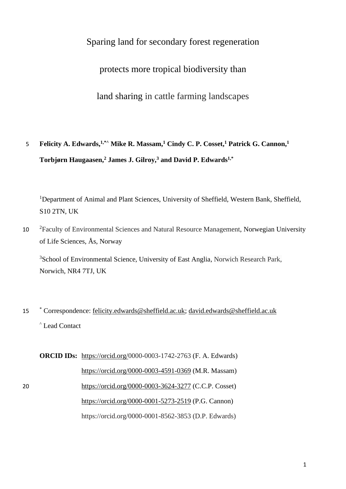# Sparing land for secondary forest regeneration

protects more tropical biodiversity than

land sharing in cattle farming landscapes

**Felicity A. Edwards, 1,\*^ Mike R. Massam, <sup>1</sup> Cindy C. P. Cosset, <sup>1</sup> Patrick G. Cannon, <sup>1</sup>** 5 **Torbjørn Haugaasen, <sup>2</sup> James J. Gilroy, <sup>3</sup> and David P. Edwards1,\***

<sup>1</sup>Department of Animal and Plant Sciences, University of Sheffield, Western Bank, Sheffield, S10 2TN, UK

10 <sup>2</sup> Faculty of Environmental Sciences and Natural Resource Management, Norwegian University of Life Sciences, Ås, Norway

<sup>3</sup>School of Environmental Science, University of East Anglia, Norwich Research Park, Norwich, NR4 7TJ, UK

15 Correspondence: [felicity.edwards@sheffield.ac.uk;](mailto:felicity.edwards@sheffield.ac.uk) [david.edwards@sheffield.ac.uk](mailto:david.edwards@sheffield.ac.uk) ^ Lead Contact

**ORCID IDs:** [https://orcid.org/0](https://orcid.org/0000-0003-4591-0369)000-0003-1742-2763 (F. A. Edwards) <https://orcid.org/0000-0003-4591-0369> (M.R. Massam) 20 <https://orcid.org/0000-0003-3624-3277> (C.C.P. Cosset) https://orcid.org/0000-0001-5273-2519 (P.G. Cannon) https://orcid.org/0000-0001-8562-3853 (D.P. Edwards)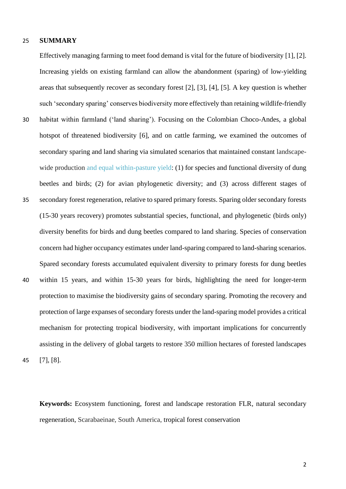### 25 **SUMMARY**

Effectively managing farming to meet food demand is vital for the future of biodiversity [1], [2]. Increasing yields on existing farmland can allow the abandonment (sparing) of low-yielding areas that subsequently recover as secondary forest [2], [3], [4], [5]. A key question is whether such 'secondary sparing' conserves biodiversity more effectively than retaining wildlife-friendly 30 habitat within farmland ('land sharing'). Focusing on the Colombian Choco-Andes, a global hotspot of threatened biodiversity [6], and on cattle farming, we examined the outcomes of secondary sparing and land sharing via simulated scenarios that maintained constant landscapewide production and equal within-pasture yield: (1) for species and functional diversity of dung beetles and birds; (2) for avian phylogenetic diversity; and (3) across different stages of 35 secondary forest regeneration, relative to spared primary forests. Sparing older secondary forests (15-30 years recovery) promotes substantial species, functional, and phylogenetic (birds only) diversity benefits for birds and dung beetles compared to land sharing. Species of conservation concern had higher occupancy estimates under land-sparing compared to land-sharing scenarios. Spared secondary forests accumulated equivalent diversity to primary forests for dung beetles 40 within 15 years, and within 15-30 years for birds, highlighting the need for longer-term protection to maximise the biodiversity gains of secondary sparing. Promoting the recovery and protection of large expanses of secondary forests under the land-sparing model provides a critical mechanism for protecting tropical biodiversity, with important implications for concurrently assisting in the delivery of global targets to restore 350 million hectares of forested landscapes 45 [7], [8].

**Keywords:** Ecosystem functioning, forest and landscape restoration FLR, natural secondary regeneration, Scarabaeinae, South America, tropical forest conservation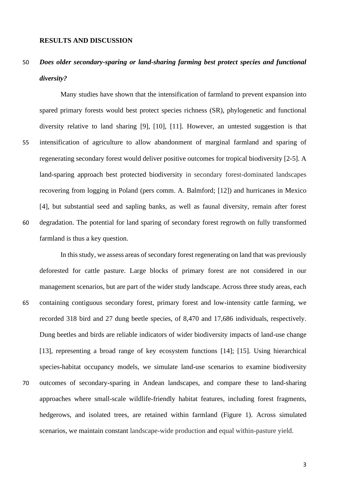# 50 *Does older secondary-sparing or land-sharing farming best protect species and functional diversity?*

Many studies have shown that the intensification of farmland to prevent expansion into spared primary forests would best protect species richness (SR), phylogenetic and functional diversity relative to land sharing [9], [10], [11]. However, an untested suggestion is that 55 intensification of agriculture to allow abandonment of marginal farmland and sparing of regenerating secondary forest would deliver positive outcomes for tropical biodiversity [2-5]. A land-sparing approach best protected biodiversity in secondary forest-dominated landscapes recovering from logging in Poland (pers comm. A. Balmford; [12]) and hurricanes in Mexico [4], but substantial seed and sapling banks, as well as faunal diversity, remain after forest 60 degradation. The potential for land sparing of secondary forest regrowth on fully transformed farmland is thus a key question.

In this study, we assess areas of secondary forest regenerating on land that was previously deforested for cattle pasture. Large blocks of primary forest are not considered in our management scenarios, but are part of the wider study landscape. Across three study areas, each 65 containing contiguous secondary forest, primary forest and low-intensity cattle farming, we recorded 318 bird and 27 dung beetle species, of 8,470 and 17,686 individuals, respectively. Dung beetles and birds are reliable indicators of wider biodiversity impacts of land-use change [13], representing a broad range of key ecosystem functions [14]; [15]. Using hierarchical species-habitat occupancy models, we simulate land-use scenarios to examine biodiversity 70 outcomes of secondary-sparing in Andean landscapes, and compare these to land-sharing approaches where small-scale wildlife-friendly habitat features, including forest fragments, hedgerows, and isolated trees, are retained within farmland (Figure 1). Across simulated scenarios, we maintain constant landscape-wide production and equal within-pasture yield.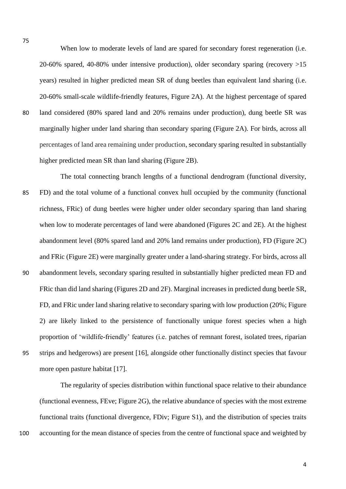When low to moderate levels of land are spared for secondary forest regeneration (i.e. 20-60% spared, 40-80% under intensive production), older secondary sparing (recovery >15 years) resulted in higher predicted mean SR of dung beetles than equivalent land sharing (i.e. 20-60% small-scale wildlife-friendly features, Figure 2A). At the highest percentage of spared 80 land considered (80% spared land and 20% remains under production), dung beetle SR was marginally higher under land sharing than secondary sparing (Figure 2A). For birds, across all percentages of land area remaining under production, secondary sparing resulted in substantially higher predicted mean SR than land sharing (Figure 2B).

The total connecting branch lengths of a functional dendrogram (functional diversity, 85 FD) and the total volume of a functional convex hull occupied by the community (functional richness, FRic) of dung beetles were higher under older secondary sparing than land sharing when low to moderate percentages of land were abandoned (Figures 2C and 2E). At the highest abandonment level (80% spared land and 20% land remains under production), FD (Figure 2C) and FRic (Figure 2E) were marginally greater under a land-sharing strategy. For birds, across all 90 abandonment levels, secondary sparing resulted in substantially higher predicted mean FD and FRic than did land sharing (Figures 2D and 2F). Marginal increases in predicted dung beetle SR, FD, and FRic under land sharing relative to secondary sparing with low production (20%; Figure 2) are likely linked to the persistence of functionally unique forest species when a high proportion of 'wildlife-friendly' features (i.e. patches of remnant forest, isolated trees, riparian 95 strips and hedgerows) are present [16], alongside other functionally distinct species that favour more open pasture habitat [17].

The regularity of species distribution within functional space relative to their abundance (functional evenness, FEve; Figure 2G), the relative abundance of species with the most extreme functional traits (functional divergence, FDiv; Figure S1), and the distribution of species traits 100 accounting for the mean distance of species from the centre of functional space and weighted by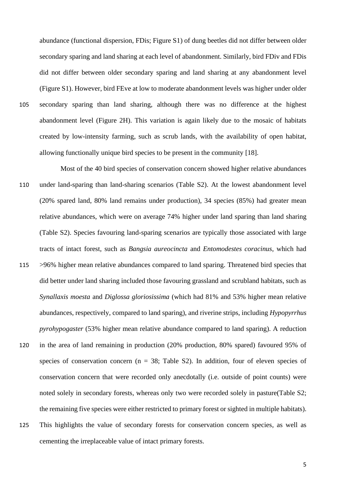abundance (functional dispersion, FDis; Figure S1) of dung beetles did not differ between older secondary sparing and land sharing at each level of abandonment. Similarly, bird FDiv and FDis did not differ between older secondary sparing and land sharing at any abandonment level (Figure S1). However, bird FEve at low to moderate abandonment levels was higher under older 105 secondary sparing than land sharing, although there was no difference at the highest abandonment level (Figure 2H). This variation is again likely due to the mosaic of habitats created by low-intensity farming, such as scrub lands, with the availability of open habitat, allowing functionally unique bird species to be present in the community [18].

- Most of the 40 bird species of conservation concern showed higher relative abundances 110 under land-sparing than land-sharing scenarios (Table S2). At the lowest abandonment level (20% spared land, 80% land remains under production), 34 species (85%) had greater mean relative abundances, which were on average 74% higher under land sparing than land sharing (Table S2). Species favouring land-sparing scenarios are typically those associated with large tracts of intact forest, such as *Bangsia aureocincta* and *Entomodestes coracinus*, which had 115 >96% higher mean relative abundances compared to land sparing. Threatened bird species that did better under land sharing included those favouring grassland and scrubland habitats, such as *Synallaxis moesta* and *Diglossa gloriosissima* (which had 81% and 53% higher mean relative abundances, respectively, compared to land sparing), and riverine strips, including *Hypopyrrhus pyrohypogaster* (53% higher mean relative abundance compared to land sparing). A reduction 120 in the area of land remaining in production (20% production, 80% spared) favoured 95% of species of conservation concern ( $n = 38$ ; Table S2). In addition, four of eleven species of conservation concern that were recorded only anecdotally (i.e. outside of point counts) were noted solely in secondary forests, whereas only two were recorded solely in pasture(Table S2; the remaining five species were either restricted to primary forest or sighted in multiple habitats). 125 This highlights the value of secondary forests for conservation concern species, as well as
	- cementing the irreplaceable value of intact primary forests.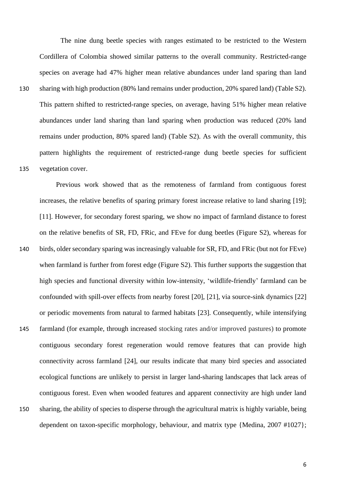The nine dung beetle species with ranges estimated to be restricted to the Western Cordillera of Colombia showed similar patterns to the overall community. Restricted-range species on average had 47% higher mean relative abundances under land sparing than land 130 sharing with high production (80% land remains under production, 20% spared land) (Table S2). This pattern shifted to restricted-range species, on average, having 51% higher mean relative abundances under land sharing than land sparing when production was reduced (20% land remains under production, 80% spared land) (Table S2). As with the overall community, this pattern highlights the requirement of restricted-range dung beetle species for sufficient 135 vegetation cover.

Previous work showed that as the remoteness of farmland from contiguous forest increases, the relative benefits of sparing primary forest increase relative to land sharing [19]; [11]. However, for secondary forest sparing, we show no impact of farmland distance to forest on the relative benefits of SR, FD, FRic, and FEve for dung beetles (Figure S2), whereas for 140 birds, older secondary sparing was increasingly valuable for SR, FD, and FRic (but not for FEve) when farmland is further from forest edge (Figure S2). This further supports the suggestion that high species and functional diversity within low-intensity, 'wildlife-friendly' farmland can be confounded with spill-over effects from nearby forest [20], [21], via source-sink dynamics [22] or periodic movements from natural to farmed habitats [23]. Consequently, while intensifying 145 farmland (for example, through increased stocking rates and/or improved pastures) to promote contiguous secondary forest regeneration would remove features that can provide high connectivity across farmland [24], our results indicate that many bird species and associated ecological functions are unlikely to persist in larger land-sharing landscapes that lack areas of contiguous forest. Even when wooded features and apparent connectivity are high under land 150 sharing, the ability of species to disperse through the agricultural matrix is highly variable, being dependent on taxon-specific morphology, behaviour, and matrix type {Medina, 2007 #1027};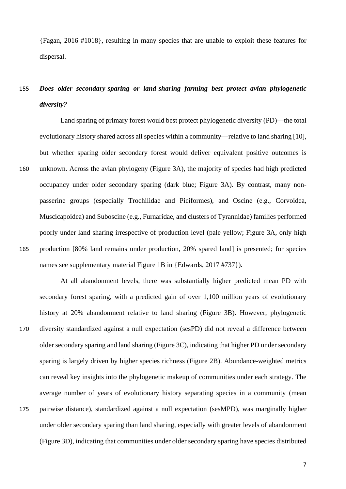{Fagan, 2016 #1018}, resulting in many species that are unable to exploit these features for dispersal.

# 155 *Does older secondary-sparing or land-sharing farming best protect avian phylogenetic diversity?*

Land sparing of primary forest would best protect phylogenetic diversity (PD)—the total evolutionary history shared across all species within a community—relative to land sharing [10], but whether sparing older secondary forest would deliver equivalent positive outcomes is 160 unknown. Across the avian phylogeny (Figure 3A), the majority of species had high predicted occupancy under older secondary sparing (dark blue; Figure 3A). By contrast, many nonpasserine groups (especially Trochilidae and Piciformes), and Oscine (e.g., Corvoidea, Muscicapoidea) and Suboscine (e.g., Furnaridae, and clusters of Tyrannidae) families performed poorly under land sharing irrespective of production level (pale yellow; Figure 3A, only high 165 production [80% land remains under production, 20% spared land] is presented; for species names see supplementary material Figure 1B in {Edwards, 2017 #737}).

At all abandonment levels, there was substantially higher predicted mean PD with secondary forest sparing, with a predicted gain of over 1,100 million years of evolutionary history at 20% abandonment relative to land sharing (Figure 3B). However, phylogenetic 170 diversity standardized against a null expectation (sesPD) did not reveal a difference between older secondary sparing and land sharing (Figure 3C), indicating that higher PD under secondary sparing is largely driven by higher species richness (Figure 2B). Abundance-weighted metrics can reveal key insights into the phylogenetic makeup of communities under each strategy. The average number of years of evolutionary history separating species in a community (mean 175 pairwise distance), standardized against a null expectation (sesMPD), was marginally higher under older secondary sparing than land sharing, especially with greater levels of abandonment (Figure 3D), indicating that communities under older secondary sparing have species distributed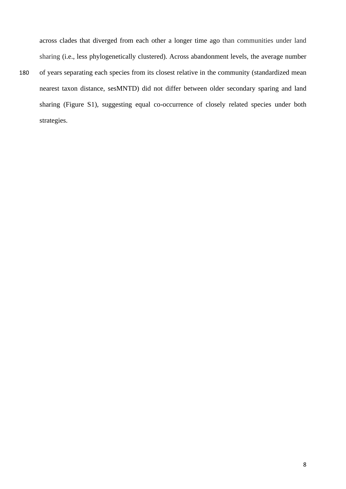across clades that diverged from each other a longer time ago than communities under land sharing (i.e., less phylogenetically clustered). Across abandonment levels, the average number

180 of years separating each species from its closest relative in the community (standardized mean nearest taxon distance, sesMNTD) did not differ between older secondary sparing and land sharing (Figure S1), suggesting equal co-occurrence of closely related species under both strategies.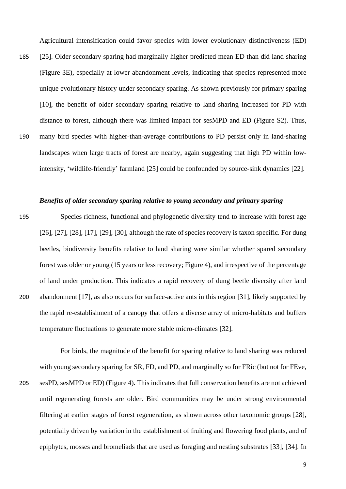Agricultural intensification could favor species with lower evolutionary distinctiveness (ED)

185 [25]. Older secondary sparing had marginally higher predicted mean ED than did land sharing (Figure 3E), especially at lower abandonment levels, indicating that species represented more unique evolutionary history under secondary sparing. As shown previously for primary sparing [10], the benefit of older secondary sparing relative to land sharing increased for PD with distance to forest, although there was limited impact for sesMPD and ED (Figure S2). Thus, 190 many bird species with higher-than-average contributions to PD persist only in land-sharing landscapes when large tracts of forest are nearby, again suggesting that high PD within lowintensity, 'wildlife-friendly' farmland [25] could be confounded by source-sink dynamics [22].

# *Benefits of older secondary sparing relative to young secondary and primary sparing*

195 Species richness, functional and phylogenetic diversity tend to increase with forest age [26], [27], [28], [17], [29], [30], although the rate of species recovery is taxon specific. For dung beetles, biodiversity benefits relative to land sharing were similar whether spared secondary forest was older or young (15 years or less recovery; Figure 4), and irrespective of the percentage of land under production. This indicates a rapid recovery of dung beetle diversity after land 200 abandonment [17], as also occurs for surface-active ants in this region [31], likely supported by the rapid re-establishment of a canopy that offers a diverse array of micro-habitats and buffers temperature fluctuations to generate more stable micro-climates [32].

For birds, the magnitude of the benefit for sparing relative to land sharing was reduced with young secondary sparing for SR, FD, and PD, and marginally so for FRic (but not for FEve, 205 sesPD, sesMPD or ED) (Figure 4). This indicates that full conservation benefits are not achieved until regenerating forests are older. Bird communities may be under strong environmental filtering at earlier stages of forest regeneration, as shown across other taxonomic groups [28], potentially driven by variation in the establishment of fruiting and flowering food plants, and of epiphytes, mosses and bromeliads that are used as foraging and nesting substrates [33], [34]. In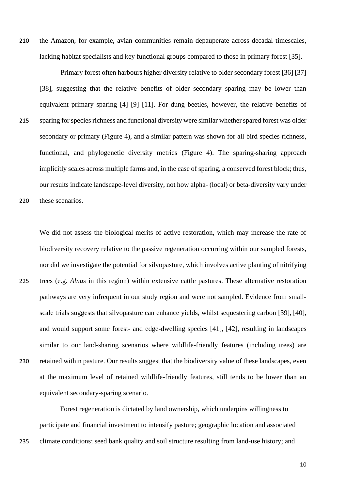210 the Amazon, for example, avian communities remain depauperate across decadal timescales, lacking habitat specialists and key functional groups compared to those in primary forest [35].

Primary forest often harbours higher diversity relative to older secondary forest [36] [37] [38], suggesting that the relative benefits of older secondary sparing may be lower than equivalent primary sparing [4] [9] [11]. For dung beetles, however, the relative benefits of 215 sparing for species richness and functional diversity were similar whether spared forest was older secondary or primary (Figure 4), and a similar pattern was shown for all bird species richness, functional, and phylogenetic diversity metrics (Figure 4). The sparing-sharing approach implicitly scales across multiple farms and, in the case of sparing, a conserved forest block; thus, our results indicate landscape-level diversity, not how alpha- (local) or beta-diversity vary under

220 these scenarios.

We did not assess the biological merits of active restoration, which may increase the rate of biodiversity recovery relative to the passive regeneration occurring within our sampled forests, nor did we investigate the potential for silvopasture, which involves active planting of nitrifying 225 trees (e.g. *Alnus* in this region) within extensive cattle pastures. These alternative restoration pathways are very infrequent in our study region and were not sampled. Evidence from smallscale trials suggests that silvopasture can enhance yields, whilst sequestering carbon [39], [40], and would support some forest- and edge-dwelling species [41], [42], resulting in landscapes similar to our land-sharing scenarios where wildlife-friendly features (including trees) are 230 retained within pasture. Our results suggest that the biodiversity value of these landscapes, even

equivalent secondary-sparing scenario.

Forest regeneration is dictated by land ownership, which underpins willingness to participate and financial investment to intensify pasture; geographic location and associated

at the maximum level of retained wildlife-friendly features, still tends to be lower than an

235 climate conditions; seed bank quality and soil structure resulting from land-use history; and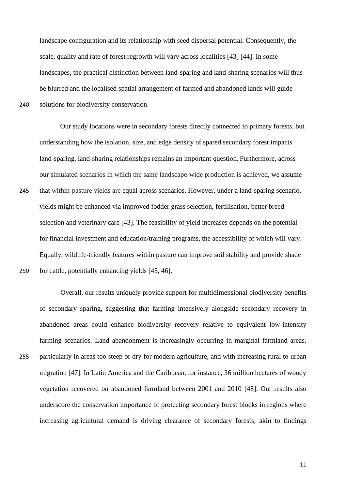landscape configuration and its relationship with seed dispersal potential. Consequently, the scale, quality and rate of forest regrowth will vary across localities [43] [44]. In some landscapes, the practical distinction between land-sparing and land-sharing scenarios will thus be blurred and the localised spatial arrangement of farmed and abandoned lands will guide 240 solutions for biodiversity conservation.

Our study locations were in secondary forests directly connected to primary forests, but understanding how the isolation, size, and edge density of spared secondary forest impacts land-sparing, land-sharing relationships remains an important question. Furthermore, across our simulated scenarios in which the same landscape-wide production is achieved, we assume 245 that within-pasture yields are equal across scenarios. However, under a land-sparing scenario, yields might be enhanced via improved fodder grass selection, fertilisation, better breed selection and veterinary care [43]. The feasibility of yield increases depends on the potential for financial investment and education/training programs, the accessibility of which will vary. Equally, wildlife-friendly features within pasture can improve soil stability and provide shade 250 for cattle, potentially enhancing yields [45, 46].

Overall, our results uniquely provide support for multidimensional biodiversity benefits of secondary sparing, suggesting that farming intensively alongside secondary recovery in abandoned areas could enhance biodiversity recovery relative to equivalent low-intensity farming scenarios. Land abandonment is increasingly occurring in marginal farmland areas, 255 particularly in areas too steep or dry for modern agriculture, and with increasing rural to urban migration [47]. In Latin America and the Caribbean, for instance, 36 million hectares of woody vegetation recovered on abandoned farmland between 2001 and 2010 [48]. Our results also underscore the conservation importance of protecting secondary forest blocks in regions where increasing agricultural demand is driving clearance of secondary forests, akin to findings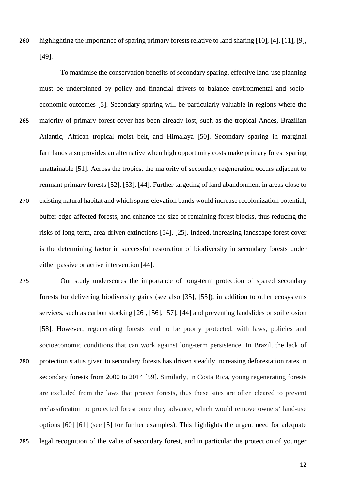260 highlighting the importance of sparing primary forests relative to land sharing [10], [4], [11], [9], [49].

To maximise the conservation benefits of secondary sparing, effective land-use planning must be underpinned by policy and financial drivers to balance environmental and socioeconomic outcomes [5]. Secondary sparing will be particularly valuable in regions where the 265 majority of primary forest cover has been already lost, such as the tropical Andes, Brazilian Atlantic, African tropical moist belt, and Himalaya [50]. Secondary sparing in marginal farmlands also provides an alternative when high opportunity costs make primary forest sparing unattainable [51]. Across the tropics, the majority of secondary regeneration occurs adjacent to remnant primary forests [52], [53], [44]. Further targeting of land abandonment in areas close to 270 existing natural habitat and which spans elevation bands would increase recolonization potential, buffer edge-affected forests, and enhance the size of remaining forest blocks, thus reducing the risks of long-term, area-driven extinctions [54], [25]. Indeed, increasing landscape forest cover is the determining factor in successful restoration of biodiversity in secondary forests under either passive or active intervention [44].

275 Our study underscores the importance of long-term protection of spared secondary forests for delivering biodiversity gains (see also [35], [55]), in addition to other ecosystems services, such as carbon stocking [26], [56], [57], [44] and preventing landslides or soil erosion [58]. However, regenerating forests tend to be poorly protected, with laws, policies and socioeconomic conditions that can work against long-term persistence. In Brazil, the lack of 280 protection status given to secondary forests has driven steadily increasing deforestation rates in secondary forests from 2000 to 2014 [59]. Similarly, in Costa Rica, young regenerating forests are excluded from the laws that protect forests, thus these sites are often cleared to prevent reclassification to protected forest once they advance, which would remove owners' land-use options [60] [61] (see [5] for further examples). This highlights the urgent need for adequate 285 legal recognition of the value of secondary forest, and in particular the protection of younger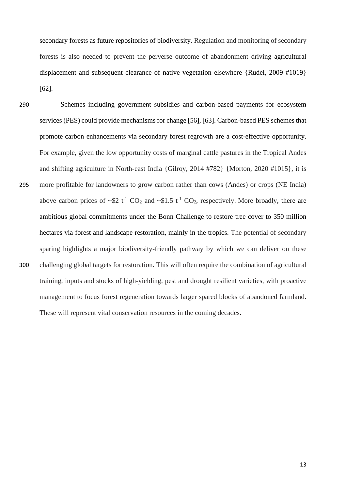secondary forests as future repositories of biodiversity. Regulation and monitoring of secondary forests is also needed to prevent the perverse outcome of abandonment driving agricultural displacement and subsequent clearance of native vegetation elsewhere {Rudel, 2009 #1019} [62].

- 290 Schemes including government subsidies and carbon-based payments for ecosystem services (PES) could provide mechanisms for change [56], [63]. Carbon-based PES schemes that promote carbon enhancements via secondary forest regrowth are a cost-effective opportunity. For example, given the low opportunity costs of marginal cattle pastures in the Tropical Andes and shifting agriculture in North-east India {Gilroy, 2014 #782} {Morton, 2020 #1015}, it is 295 more profitable for landowners to grow carbon rather than cows (Andes) or crops (NE India) above carbon prices of  $\sim$ \$2 t<sup>-1</sup> CO<sub>2</sub> and  $\sim$ \$1.5 t<sup>-1</sup> CO<sub>2</sub>, respectively. More broadly, there are ambitious global commitments under the Bonn Challenge to restore tree cover to 350 million hectares via forest and landscape restoration, mainly in the tropics. The potential of secondary sparing highlights a major biodiversity-friendly pathway by which we can deliver on these 300 challenging global targets for restoration. This will often require the combination of agricultural training, inputs and stocks of high-yielding, pest and drought resilient varieties, with proactive management to focus forest regeneration towards larger spared blocks of abandoned farmland. These will represent vital conservation resources in the coming decades.
-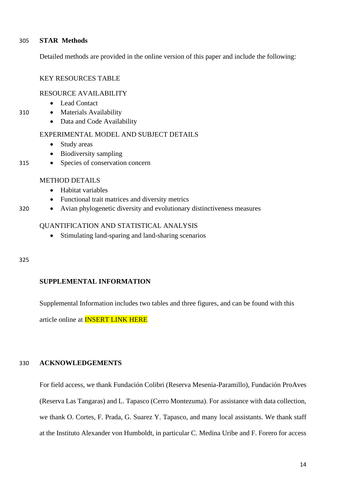# 305 **STAR Methods**

Detailed methods are provided in the online version of this paper and include the following:

# KEY RESOURCES TABLE

# RESOURCE AVAILABILITY

- Lead Contact
- 310 Materials Availability
	- Data and Code Availability

### EXPERIMENTAL MODEL AND SUBJECT DETAILS

- Study areas
- Biodiversity sampling
- 315 Species of conservation concern

### METHOD DETAILS

- Habitat variables
- Functional trait matrices and diversity metrics
- 320 Avian phylogenetic diversity and evolutionary distinctiveness measures

# QUANTIFICATION AND STATISTICAL ANALYSIS

• Stimulating land-sparing and land-sharing scenarios

### 325

# **SUPPLEMENTAL INFORMATION**

Supplemental Information includes two tables and three figures, and can be found with this

article online at INSERT LINK HERE

# 330 **ACKNOWLEDGEMENTS**

For field access, we thank Fundación Colibri (Reserva Mesenia-Paramillo), Fundación ProAves (Reserva Las Tangaras) and L. Tapasco (Cerro Montezuma). For assistance with data collection, we thank O. Cortes, F. Prada, G. Suarez Y. Tapasco, and many local assistants. We thank staff at the Instituto Alexander von Humboldt, in particular C. Medina Uribe and F. Forero for access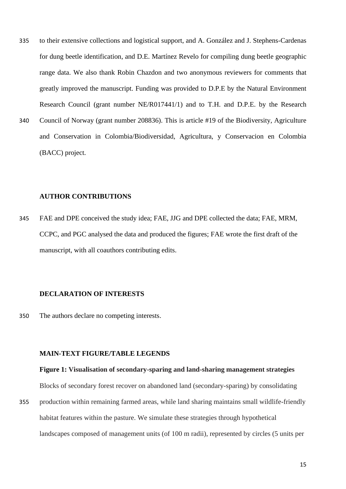- 335 to their extensive collections and logistical support, and A. González and J. Stephens-Cardenas for dung beetle identification, and D.E. Martínez Revelo for compiling dung beetle geographic range data. We also thank Robin Chazdon and two anonymous reviewers for comments that greatly improved the manuscript. Funding was provided to D.P.E by the Natural Environment Research Council (grant number NE/R017441/1) and to T.H. and D.P.E. by the Research
- 340 Council of Norway (grant number 208836). This is article #19 of the Biodiversity, Agriculture and Conservation in Colombia/Biodiversidad, Agricultura, y Conservacion en Colombia (BACC) project.

# **AUTHOR CONTRIBUTIONS**

345 FAE and DPE conceived the study idea; FAE, JJG and DPE collected the data; FAE, MRM, CCPC, and PGC analysed the data and produced the figures; FAE wrote the first draft of the manuscript, with all coauthors contributing edits.

#### **DECLARATION OF INTERESTS**

350 The authors declare no competing interests.

### **MAIN-TEXT FIGURE/TABLE LEGENDS**

#### **Figure 1: Visualisation of secondary-sparing and land-sharing management strategies**

Blocks of secondary forest recover on abandoned land (secondary-sparing) by consolidating

355 production within remaining farmed areas, while land sharing maintains small wildlife-friendly habitat features within the pasture. We simulate these strategies through hypothetical landscapes composed of management units (of 100 m radii), represented by circles (5 units per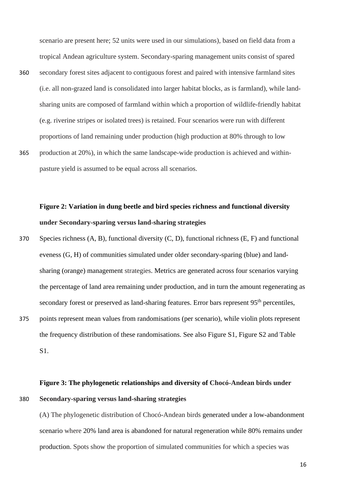scenario are present here; 52 units were used in our simulations), based on field data from a tropical Andean agriculture system. Secondary-sparing management units consist of spared 360 secondary forest sites adjacent to contiguous forest and paired with intensive farmland sites (i.e. all non-grazed land is consolidated into larger habitat blocks, as is farmland), while landsharing units are composed of farmland within which a proportion of wildlife-friendly habitat (e.g. riverine stripes or isolated trees) is retained. Four scenarios were run with different proportions of land remaining under production (high production at 80% through to low 365 production at 20%), in which the same landscape-wide production is achieved and withinpasture yield is assumed to be equal across all scenarios.

# **Figure 2: Variation in dung beetle and bird species richness and functional diversity under Secondary-sparing versus land-sharing strategies**

- 370 Species richness (A, B), functional diversity (C, D), functional richness (E, F) and functional eveness (G, H) of communities simulated under older secondary-sparing (blue) and landsharing (orange) management strategies. Metrics are generated across four scenarios varying the percentage of land area remaining under production, and in turn the amount regenerating as secondary forest or preserved as land-sharing features. Error bars represent 95<sup>th</sup> percentiles,
- 375 points represent mean values from randomisations (per scenario), while violin plots represent the frequency distribution of these randomisations. See also Figure S1, Figure S2 and Table S1.

# **Figure 3: The phylogenetic relationships and diversity of Chocó-Andean birds under**  380 **Secondary-sparing versus land-sharing strategies**

(A) The phylogenetic distribution of Chocó-Andean birds generated under a low-abandonment scenario where 20% land area is abandoned for natural regeneration while 80% remains under production. Spots show the proportion of simulated communities for which a species was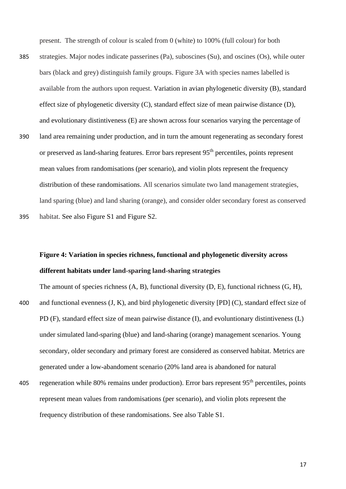present. The strength of colour is scaled from 0 (white) to 100% (full colour) for both

385 strategies. Major nodes indicate passerines (Pa), suboscines (Su), and oscines (Os), while outer bars (black and grey) distinguish family groups. Figure 3A with species names labelled is available from the authors upon request. Variation in avian phylogenetic diversity (B), standard effect size of phylogenetic diversity (C), standard effect size of mean pairwise distance (D), and evolutionary distintiveness (E) are shown across four scenarios varying the percentage of 390 land area remaining under production, and in turn the amount regenerating as secondary forest or preserved as land-sharing features. Error bars represent 95<sup>th</sup> percentiles, points represent mean values from randomisations (per scenario), and violin plots represent the frequency distribution of these randomisations. All scenarios simulate two land management strategies, land sparing (blue) and land sharing (orange), and consider older secondary forest as conserved

395 habitat. See also Figure S1 and Figure S2.

# **Figure 4: Variation in species richness, functional and phylogenetic diversity across different habitats under land-sparing land-sharing strategies**

The amount of species richness (A, B), functional diversity (D, E), functional richness (G, H), 400 and functional evenness (J, K), and bird phylogenetic diversity [PD] (C), standard effect size of PD (F), standard effect size of mean pairwise distance (I), and evoluntionary distintiveness (L) under simulated land-sparing (blue) and land-sharing (orange) management scenarios. Young secondary, older secondary and primary forest are considered as conserved habitat. Metrics are generated under a low-abandoment scenario (20% land area is abandoned for natural

405 regeneration while 80% remains under production). Error bars represent  $95<sup>th</sup>$  percentiles, points represent mean values from randomisations (per scenario), and violin plots represent the frequency distribution of these randomisations. See also Table S1.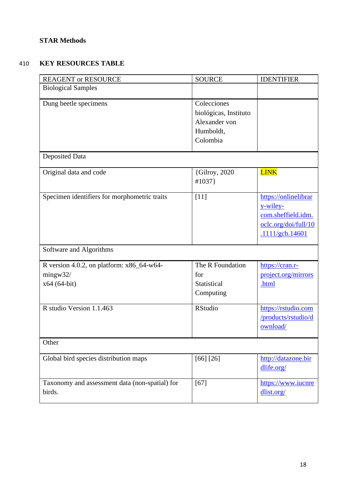# **STAR Methods**

# 410 **KEY RESOURCES TABLE**

| <b>REAGENT or RESOURCE</b>                                             | <b>SOURCE</b>                                                                  | <b>IDENTIFIER</b>                                                                                 |  |  |
|------------------------------------------------------------------------|--------------------------------------------------------------------------------|---------------------------------------------------------------------------------------------------|--|--|
| <b>Biological Samples</b>                                              |                                                                                |                                                                                                   |  |  |
| Dung beetle specimens                                                  | Colecciones<br>biológicas, Instituto<br>Alexander von<br>Humboldt,<br>Colombia |                                                                                                   |  |  |
| <b>Deposited Data</b>                                                  |                                                                                |                                                                                                   |  |  |
| Original data and code                                                 | {Gilroy, 2020<br>#1037}                                                        | <b>LINK</b>                                                                                       |  |  |
| Specimen identifiers for morphometric traits                           | $[11]$                                                                         | https://onlinelibrar<br>y-wiley-<br>com.sheffield.idm.<br>oclc.org/doi/full/10<br>.1111/gcb.14601 |  |  |
| Software and Algorithms                                                |                                                                                |                                                                                                   |  |  |
| R version 4.0.2, on platform: $x86_64-w64$<br>mingw32/<br>x64 (64-bit) | The R Foundation<br>for<br>Statistical<br>Computing                            | https://cran.r-<br>project.org/mirrors<br>.html                                                   |  |  |
| R studio Version 1.1.463                                               | <b>RStudio</b>                                                                 | https://rstudio.com<br>/products/rstudio/d<br>ownload/                                            |  |  |
| Other                                                                  |                                                                                |                                                                                                   |  |  |
| Global bird species distribution maps                                  | [66] [26]                                                                      | http://datazone.bir<br>dlife.org/                                                                 |  |  |
| Taxonomy and assessment data (non-spatial) for<br>birds.               | $[67]$                                                                         | https://www.iucnre<br>dlist.org/                                                                  |  |  |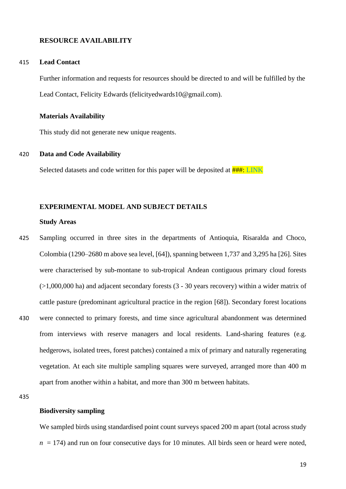#### **RESOURCE AVAILABILITY**

#### 415 **Lead Contact**

Further information and requests for resources should be directed to and will be fulfilled by the Lead Contact, Felicity Edwards (felicityedwards10@gmail.com).

#### **Materials Availability**

This study did not generate new unique reagents.

#### 420 **Data and Code Availability**

Selected datasets and code written for this paper will be deposited at  $\frac{\text{HHH: LINK}}{\text{HHK}}$ 

#### **EXPERIMENTAL MODEL AND SUBJECT DETAILS**

#### **Study Areas**

425 Sampling occurred in three sites in the departments of Antioquia, Risaralda and Choco, Colombia (1290–2680 m above sea level, [64]), spanning between 1,737 and 3,295 ha [26]. Sites were characterised by sub-montane to sub-tropical Andean contiguous primary cloud forests (>1,000,000 ha) and adjacent secondary forests (3 - 30 years recovery) within a wider matrix of cattle pasture (predominant agricultural practice in the region [68]). Secondary forest locations 430 were connected to primary forests, and time since agricultural abandonment was determined from interviews with reserve managers and local residents. Land-sharing features (e.g. hedgerows, isolated trees, forest patches) contained a mix of primary and naturally regenerating vegetation. At each site multiple sampling squares were surveyed, arranged more than 400 m apart from another within a habitat, and more than 300 m between habitats.

# **Biodiversity sampling**

We sampled birds using standardised point count surveys spaced 200 m apart (total across study  $n = 174$ ) and run on four consecutive days for 10 minutes. All birds seen or heard were noted,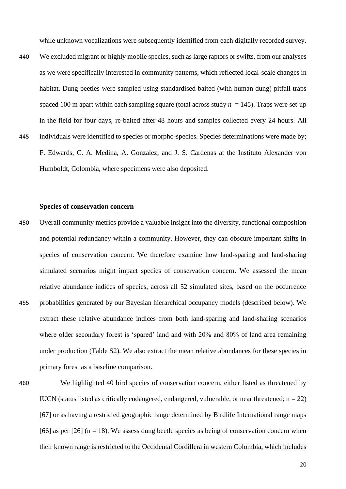while unknown vocalizations were subsequently identified from each digitally recorded survey.

- 440 We excluded migrant or highly mobile species, such as large raptors or swifts, from our analyses as we were specifically interested in community patterns, which reflected local-scale changes in habitat. Dung beetles were sampled using standardised baited (with human dung) pitfall traps spaced 100 m apart within each sampling square (total across study  $n = 145$ ). Traps were set-up in the field for four days, re-baited after 48 hours and samples collected every 24 hours. All 445 individuals were identified to species or morpho-species. Species determinations were made by; F. Edwards, C. A. Medina, A. Gonzalez, and J. S. Cardenas at the Instituto Alexander von Humboldt, Colombia, where specimens were also deposited.
- 

#### **Species of conservation concern**

450 Overall community metrics provide a valuable insight into the diversity, functional composition and potential redundancy within a community. However, they can obscure important shifts in species of conservation concern. We therefore examine how land-sparing and land-sharing simulated scenarios might impact species of conservation concern. We assessed the mean relative abundance indices of species, across all 52 simulated sites, based on the occurrence 455 probabilities generated by our Bayesian hierarchical occupancy models (described below). We extract these relative abundance indices from both land-sparing and land-sharing scenarios where older secondary forest is 'spared' land and with 20% and 80% of land area remaining under production (Table S2). We also extract the mean relative abundances for these species in primary forest as a baseline comparison.



460 We highlighted 40 bird species of conservation concern, either listed as threatened by IUCN (status listed as critically endangered, endangered, vulnerable, or near threatened;  $n = 22$ ) [67] or as having a restricted geographic range determined by Birdlife International range maps [66] as per [26] ( $n = 18$ ). We assess dung beetle species as being of conservation concern when their known range is restricted to the Occidental Cordillera in western Colombia, which includes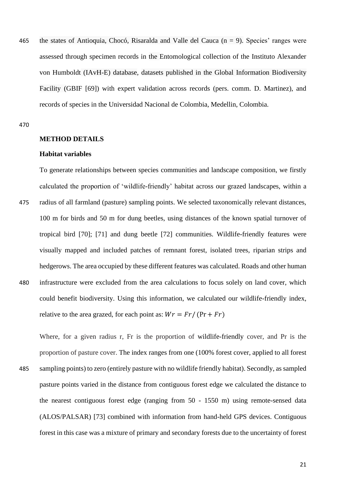465 the states of Antioquia, Chocó, Risaralda and Valle del Cauca ( $n = 9$ ). Species' ranges were assessed through specimen records in the Entomological collection of the Instituto Alexander von Humboldt (IAvH-E) database, datasets published in the Global Information Biodiversity Facility (GBIF [69]) with expert validation across records (pers. comm. D. Martinez), and records of species in the Universidad Nacional de Colombia, Medellin, Colombia.

470

# **METHOD DETAILS**

#### **Habitat variables**

To generate relationships between species communities and landscape composition, we firstly calculated the proportion of 'wildlife-friendly' habitat across our grazed landscapes, within a

475 radius of all farmland (pasture) sampling points. We selected taxonomically relevant distances, 100 m for birds and 50 m for dung beetles, using distances of the known spatial turnover of tropical bird [70]; [71] and dung beetle [72] communities. Wildlife-friendly features were visually mapped and included patches of remnant forest, isolated trees, riparian strips and hedgerows. The area occupied by these different features was calculated. Roads and other human 480 infrastructure were excluded from the area calculations to focus solely on land cover, which could benefit biodiversity. Using this information, we calculated our wildlife-friendly index, relative to the area grazed, for each point as:  $Wr = Fr / (Pr + Fr)$ 

Where, for a given radius r, Fr is the proportion of wildlife-friendly cover, and Pr is the proportion of pasture cover. The index ranges from one (100% forest cover, applied to all forest 485 sampling points) to zero (entirely pasture with no wildlife friendly habitat). Secondly, as sampled pasture points varied in the distance from contiguous forest edge we calculated the distance to the nearest contiguous forest edge (ranging from 50 - 1550 m) using remote-sensed data (ALOS/PALSAR) [73] combined with information from hand-held GPS devices. Contiguous forest in this case was a mixture of primary and secondary forests due to the uncertainty of forest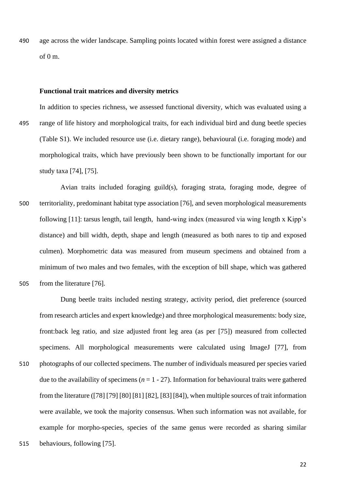490 age across the wider landscape. Sampling points located within forest were assigned a distance of 0 m.

#### **Functional trait matrices and diversity metrics**

In addition to species richness, we assessed functional diversity, which was evaluated using a 495 range of life history and morphological traits, for each individual bird and dung beetle species (Table S1). We included resource use (i.e. dietary range), behavioural (i.e. foraging mode) and morphological traits, which have previously been shown to be functionally important for our study taxa [74], [75].

Avian traits included foraging guild(s), foraging strata, foraging mode, degree of 500 territoriality, predominant habitat type association [76], and seven morphological measurements following [11]: tarsus length, tail length, hand-wing index (measured via wing length x Kipp's distance) and bill width, depth, shape and length (measured as both nares to tip and exposed culmen). Morphometric data was measured from museum specimens and obtained from a minimum of two males and two females, with the exception of bill shape, which was gathered 505 from the literature [76].

Dung beetle traits included nesting strategy, activity period, diet preference (sourced from research articles and expert knowledge) and three morphological measurements: body size, front:back leg ratio, and size adjusted front leg area (as per [75]) measured from collected specimens. All morphological measurements were calculated using ImageJ [77], from 510 photographs of our collected specimens. The number of individuals measured per species varied due to the availability of specimens  $(n = 1 - 27)$ . Information for behavioural traits were gathered from the literature ([78] [79] [80] [81] [82], [83][84]), when multiple sources of trait information were available, we took the majority consensus. When such information was not available, for example for morpho-species, species of the same genus were recorded as sharing similar 515 behaviours, following [75].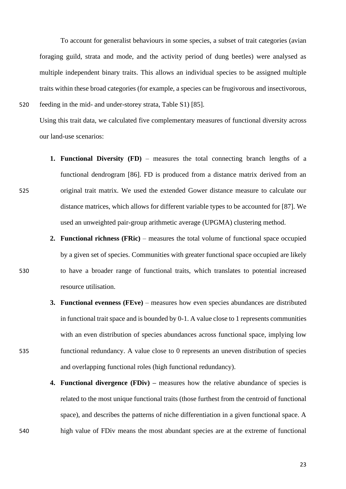To account for generalist behaviours in some species, a subset of trait categories (avian foraging guild, strata and mode, and the activity period of dung beetles) were analysed as multiple independent binary traits. This allows an individual species to be assigned multiple traits within these broad categories (for example, a species can be frugivorous and insectivorous, 520 feeding in the mid- and under-storey strata, Table S1) [85].

Using this trait data, we calculated five complementary measures of functional diversity across our land-use scenarios:

- **1. Functional Diversity (FD)** measures the total connecting branch lengths of a functional dendrogram [86]. FD is produced from a distance matrix derived from an 525 original trait matrix. We used the extended Gower distance measure to calculate our distance matrices, which allows for different variable types to be accounted for [87]. We used an unweighted pair-group arithmetic average (UPGMA) clustering method.
- **2. Functional richness (FRic)** measures the total volume of functional space occupied by a given set of species. Communities with greater functional space occupied are likely 530 to have a broader range of functional traits, which translates to potential increased resource utilisation.
- **3. Functional evenness (FEve)** measures how even species abundances are distributed in functional trait space and is bounded by 0-1. A value close to 1 represents communities with an even distribution of species abundances across functional space, implying low 535 functional redundancy. A value close to 0 represents an uneven distribution of species and overlapping functional roles (high functional redundancy).
- **4. Functional divergence (FDiv) –** measures how the relative abundance of species is related to the most unique functional traits (those furthest from the centroid of functional space), and describes the patterns of niche differentiation in a given functional space. A 540 high value of FDiv means the most abundant species are at the extreme of functional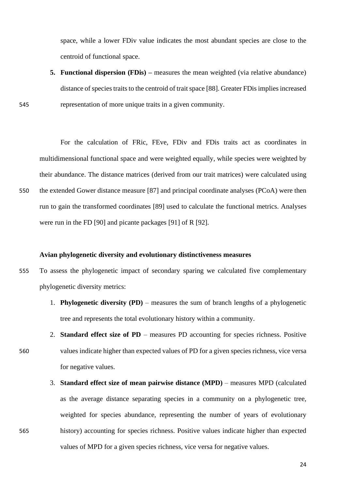space, while a lower FDiv value indicates the most abundant species are close to the centroid of functional space.

**5. Functional dispersion (FDis) –** measures the mean weighted (via relative abundance) distance of species traits to the centroid of trait space [88]. Greater FDis implies increased 545 representation of more unique traits in a given community.

For the calculation of FRic, FEve, FDiv and FDis traits act as coordinates in multidimensional functional space and were weighted equally, while species were weighted by their abundance. The distance matrices (derived from our trait matrices) were calculated using 550 the extended Gower distance measure [87] and principal coordinate analyses (PCoA) were then run to gain the transformed coordinates [89] used to calculate the functional metrics. Analyses were run in the FD [90] and picante packages [91] of R [92].

#### **Avian phylogenetic diversity and evolutionary distinctiveness measures**

- 555 To assess the phylogenetic impact of secondary sparing we calculated five complementary phylogenetic diversity metrics:
	- 1. **Phylogenetic diversity (PD)** measures the sum of branch lengths of a phylogenetic tree and represents the total evolutionary history within a community.
- 2. **Standard effect size of PD**  measures PD accounting for species richness. Positive 560 values indicate higher than expected values of PD for a given species richness, vice versa for negative values.
- 3. **Standard effect size of mean pairwise distance (MPD)**  measures MPD (calculated as the average distance separating species in a community on a phylogenetic tree, weighted for species abundance, representing the number of years of evolutionary 565 history) accounting for species richness. Positive values indicate higher than expected values of MPD for a given species richness, vice versa for negative values.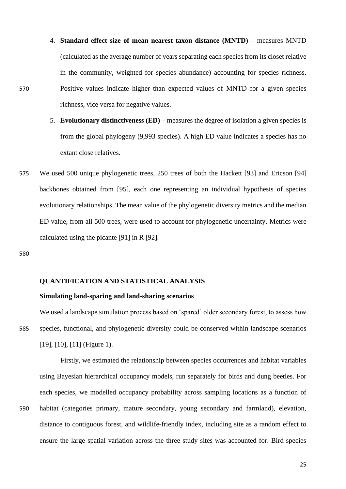- 4. **Standard effect size of mean nearest taxon distance (MNTD)**  measures MNTD (calculated as the average number of years separating each species from its closet relative in the community, weighted for species abundance) accounting for species richness. 570 Positive values indicate higher than expected values of MNTD for a given species richness, vice versa for negative values.
	- 5. **Evolutionary distinctiveness (ED)** measures the degree of isolation a given species is from the global phylogeny (9,993 species). A high ED value indicates a species has no extant close relatives.
- 575 We used 500 unique phylogenetic trees, 250 trees of both the Hackett [93] and Ericson [94] backbones obtained from [95], each one representing an individual hypothesis of species evolutionary relationships. The mean value of the phylogenetic diversity metrics and the median ED value, from all 500 trees, were used to account for phylogenetic uncertainty. Metrics were calculated using the picante [91] in R [92].

580

#### **QUANTIFICATION AND STATISTICAL ANALYSIS**

# **Simulating land-sparing and land-sharing scenarios**

We used a landscape simulation process based on 'spared' older secondary forest, to assess how 585 species, functional, and phylogenetic diversity could be conserved within landscape scenarios [19], [10], [11] (Figure 1).

Firstly, we estimated the relationship between species occurrences and habitat variables using Bayesian hierarchical occupancy models, run separately for birds and dung beetles. For each species, we modelled occupancy probability across sampling locations as a function of 590 habitat (categories primary, mature secondary, young secondary and farmland), elevation, distance to contiguous forest, and wildlife-friendly index, including site as a random effect to ensure the large spatial variation across the three study sites was accounted for. Bird species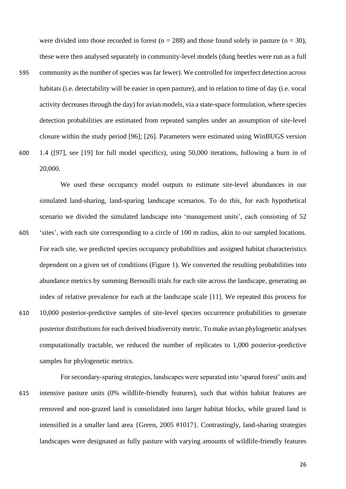were divided into those recorded in forest ( $n = 288$ ) and those found solely in pasture ( $n = 30$ ), these were then analysed separately in community-level models (dung beetles were run as a full 595 community as the number of species was far fewer). We controlled for imperfect detection across habitats (i.e. detectability will be easier in open pasture), and in relation to time of day (i.e. vocal activity decreases through the day) for avian models, via a state-space formulation, where species detection probabilities are estimated from repeated samples under an assumption of site-level closure within the study period [96]; [26]. Parameters were estimated using WinBUGS version 600 1.4 ([97], see [19] for full model specifics), using 50,000 iterations, following a burn in of 20,000.

We used these occupancy model outputs to estimate site-level abundances in our simulated land-sharing, land-sparing landscape scenarios. To do this, for each hypothetical scenario we divided the simulated landscape into 'management units', each consisting of 52 605 'sites', with each site corresponding to a circle of 100 m radius, akin to our sampled locations. For each site, we predicted species occupancy probabilities and assigned habitat characteristics dependent on a given set of conditions (Figure 1). We converted the resulting probabilities into abundance metrics by summing Bernoulli trials for each site across the landscape, generating an index of relative prevalence for each at the landscape scale [11]. We repeated this process for 610 10,000 posterior-predictive samples of site-level species occurrence probabilities to generate posterior distributions for each derived biodiversity metric. To make avian phylogenetic analyses computationally tractable, we reduced the number of replicates to 1,000 posterior-predictive samples for phylogenetic metrics.

For secondary-sparing strategies, landscapes were separated into 'spared forest' units and 615 intensive pasture units (0% wildlife-friendly features), such that within habitat features are removed and non-grazed land is consolidated into larger habitat blocks, while grazed land is intensified in a smaller land area {Green, 2005 #1017}. Contrastingly, land-sharing strategies landscapes were designated as fully pasture with varying amounts of wildlife-friendly features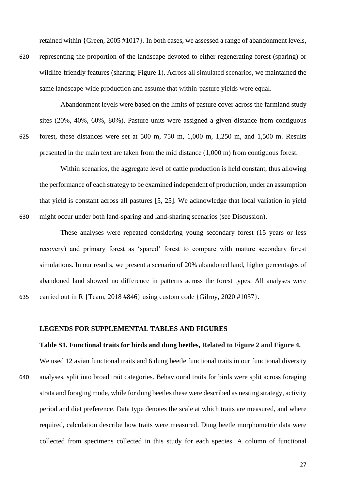retained within {Green, 2005 #1017}. In both cases, we assessed a range of abandonment levels,

620 representing the proportion of the landscape devoted to either regenerating forest (sparing) or wildlife-friendly features (sharing; Figure 1). Across all simulated scenarios, we maintained the same landscape-wide production and assume that within-pasture yields were equal.

Abandonment levels were based on the limits of pasture cover across the farmland study sites (20%, 40%, 60%, 80%). Pasture units were assigned a given distance from contiguous 625 forest, these distances were set at 500 m, 750 m, 1,000 m, 1,250 m, and 1,500 m. Results presented in the main text are taken from the mid distance (1,000 m) from contiguous forest.

Within scenarios, the aggregate level of cattle production is held constant, thus allowing the performance of each strategy to be examined independent of production, under an assumption that yield is constant across all pastures [5, 25]. We acknowledge that local variation in yield 630 might occur under both land-sparing and land-sharing scenarios (see Discussion).

These analyses were repeated considering young secondary forest (15 years or less recovery) and primary forest as 'spared' forest to compare with mature secondary forest simulations. In our results, we present a scenario of 20% abandoned land, higher percentages of abandoned land showed no difference in patterns across the forest types. All analyses were 635 carried out in R {Team, 2018 #846} using custom code {Gilroy, 2020 #1037}.

# **LEGENDS FOR SUPPLEMENTAL TABLES AND FIGURES**

#### **Table S1. Functional traits for birds and dung beetles, Related to Figure 2 and Figure 4.**

We used 12 avian functional traits and 6 dung beetle functional traits in our functional diversity 640 analyses, split into broad trait categories. Behavioural traits for birds were split across foraging strata and foraging mode, while for dung beetles these were described as nesting strategy, activity period and diet preference. Data type denotes the scale at which traits are measured, and where required, calculation describe how traits were measured. Dung beetle morphometric data were collected from specimens collected in this study for each species. A column of functional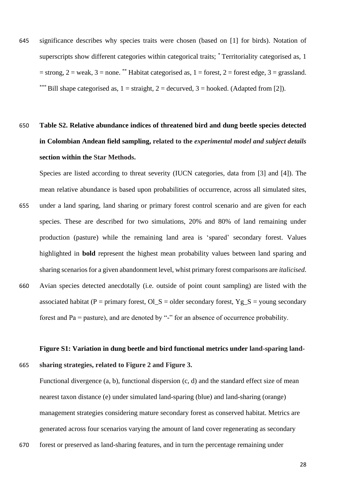645 significance describes why species traits were chosen (based on [1] for birds). Notation of superscripts show different categories within categorical traits; \* Territoriality categorised as, 1  $=$  strong,  $2 =$  weak,  $3 =$  none. \*\* Habitat categorised as,  $1 =$  forest,  $2 =$  forest edge,  $3 =$  grassland. Bill shape categorised as,  $1 =$  straight,  $2 =$  decurved,  $3 =$  hooked. (Adapted from [2]).

# 650 **Table S2. Relative abundance indices of threatened bird and dung beetle species detected in Colombian Andean field sampling, related to the** *experimental model and subject details*  **section within the Star Methods.**

Species are listed according to threat severity (IUCN categories, data from [3] and [4]). The mean relative abundance is based upon probabilities of occurrence, across all simulated sites, 655 under a land sparing, land sharing or primary forest control scenario and are given for each species. These are described for two simulations, 20% and 80% of land remaining under production (pasture) while the remaining land area is 'spared' secondary forest. Values highlighted in **bold** represent the highest mean probability values between land sparing and sharing scenarios for a given abandonment level, whist primary forest comparisons are *italicised*. 660 Avian species detected anecdotally (i.e. outside of point count sampling) are listed with the

associated habitat (P = primary forest,  $O \_S = older$  secondary forest,  $Yg_S =$  young secondary forest and Pa = pasture), and are denoted by "-" for an absence of occurrence probability.

# **Figure S1: Variation in dung beetle and bird functional metrics under land-sparing land-**665 **sharing strategies, related to Figure 2 and Figure 3.**

Functional divergence (a, b), functional dispersion (c, d) and the standard effect size of mean nearest taxon distance (e) under simulated land-sparing (blue) and land-sharing (orange) management strategies considering mature secondary forest as conserved habitat. Metrics are generated across four scenarios varying the amount of land cover regenerating as secondary

670 forest or preserved as land-sharing features, and in turn the percentage remaining under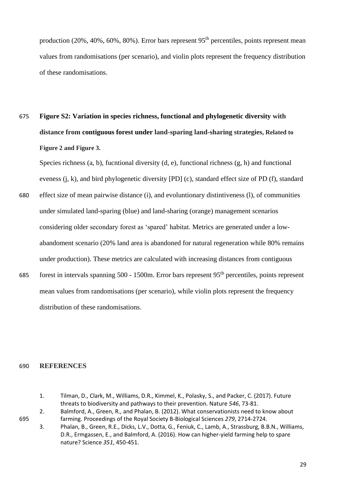production  $(20\%, 40\%, 60\%, 80\%)$ . Error bars represent 95<sup>th</sup> percentiles, points represent mean values from randomisations (per scenario), and violin plots represent the frequency distribution of these randomisations.

675 **Figure S2: Variation in species richness, functional and phylogenetic diversity with distance from contiguous forest under land-sparing land-sharing strategies, Related to Figure 2 and Figure 3.** 

Species richness (a, b), fucntional diversity (d, e), functional richness (g, h) and functional eveness (j, k), and bird phylogenetic diversity [PD] (c), standard effect size of PD (f), standard

- 680 effect size of mean pairwise distance (i), and evoluntionary distintiveness (l), of communities under simulated land-sparing (blue) and land-sharing (orange) management scenarios considering older secondary forest as 'spared' habitat. Metrics are generated under a lowabandoment scenario (20% land area is abandoned for natural regeneration while 80% remains under production). These metrics are calculated with increasing distances from contiguous
- forest in intervals spanning 500 1500m. Error bars represent 95<sup>th</sup> percentiles, points represent mean values from randomisations (per scenario), while violin plots represent the frequency distribution of these randomisations.

### 690 **REFERENCES**

- 1. Tilman, D., Clark, M., Williams, D.R., Kimmel, K., Polasky, S., and Packer, C. (2017). Future threats to biodiversity and pathways to their prevention. Nature *546*, 73-81.
- 2. Balmford, A., Green, R., and Phalan, B. (2012). What conservationists need to know about 695 farming. Proceedings of the Royal Society B-Biological Sciences *279*, 2714-2724.
	- 3. Phalan, B., Green, R.E., Dicks, L.V., Dotta, G., Feniuk, C., Lamb, A., Strassburg, B.B.N., Williams, D.R., Ermgassen, E., and Balmford, A. (2016). How can higher-yield farming help to spare nature? Science *351*, 450-451.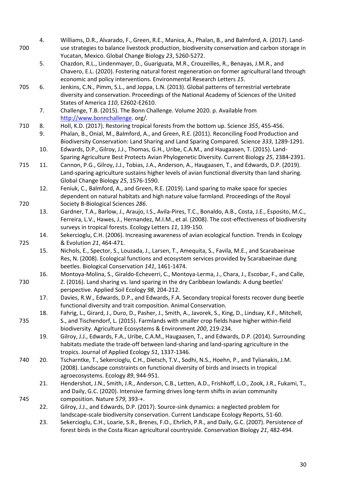- 4. Williams, D.R., Alvarado, F., Green, R.E., Manica, A., Phalan, B., and Balmford, A. (2017). Land-700 use strategies to balance livestock production, biodiversity conservation and carbon storage in Yucatan, Mexico. Global Change Biology *23*, 5260-5272.
	- 5. Chazdon, R.L., Lindenmayer, D., Guariguata, M.R., Crouzeilles, R., Benayas, J.M.R., and Chavero, E.L. (2020). Fostering natural forest regeneration on former agricultural land through economic and policy interventions. Environmental Research Letters *15*.
- 705 6. Jenkins, C.N., Pimm, S.L., and Joppa, L.N. (2013). Global patterns of terrestrial vertebrate diversity and conservation. Proceedings of the National Academy of Sciences of the United States of America *110*, E2602-E2610.
	- 7. Challenge, T.B. (2015). The Bonn Challenge. Volume 2020. p. Available from [http://www.bonnchallenge.](http://www.bonnchallenge/) org/.
- 710 8. Holl, K.D. (2017). Restoring tropical forests from the bottom up. Science *355*, 455-456.
	- 9. Phalan, B., Onial, M., Balmford, A., and Green, R.E. (2011). Reconciling Food Production and Biodiversity Conservation: Land Sharing and Land Sparing Compared. Science *333*, 1289-1291.
	- 10. Edwards, D.P., Gilroy, J.J., Thomas, G.H., Uribe, C.A.M., and Haugaasen, T. (2015). Land-Sparing Agriculture Best Protects Avian Phylogenetic Diversity. Current Biology *25*, 2384-2391.
- 715 11. Cannon, P.G., Gilroy, J.J., Tobias, J.A., Anderson, A., Haugaasen, T., and Edwards, D.P. (2019). Land-sparing agriculture sustains higher levels of avian functional diversity than land sharing. Global Change Biology *25*, 1576-1590.
- 12. Feniuk, C., Balmford, A., and Green, R.E. (2019). Land sparing to make space for species dependent on natural habitats and high nature value farmland. Proceedings of the Royal 720 Society B-Biological Sciences *286*.
	- 13. Gardner, T.A., Barlow, J., Araujo, I.S., Avila-Pires, T.C., Bonaldo, A.B., Costa, J.E., Esposito, M.C., Ferreira, L.V., Hawes, J., Hernandez, M.I.M., et al. (2008). The cost-effectiveness of biodiversity surveys in tropical forests. Ecology Letters *11*, 139-150.
- 14. Sekercioglu, C.H. (2006). Increasing awareness of avian ecological function. Trends in Ecology 725 & Evolution *21*, 464-471.
	- 15. Nichols, E., Spector, S., Louzada, J., Larsen, T., Amequita, S., Favila, M.E., and Scarabaeinae Res, N. (2008). Ecological functions and ecosystem services provided by Scarabaeinae dung beetles. Biological Conservation *141*, 1461-1474.
- 16. Montoya-Molina, S., Giraldo-Echeverri, C., Montoya-Lerma, J., Chara, J., Escobar, F., and Calle, 730 Z. (2016). Land sharing vs. land sparing in the dry Caribbean lowlands: A dung beetles' perspective. Applied Soil Ecology *98*, 204-212.
	- 17. Davies, R.W., Edwards, D.P., and Edwards, F.A. Secondary tropical forests recover dung beetle functional diversity and trait composition. Animal Conservation.
- 18. Fahrig, L., Girard, J., Duro, D., Pasher, J., Smith, A., Javorek, S., King, D., Lindsay, K.F., Mitchell, 735 S., and Tischendorf, L. (2015). Farmlands with smaller crop fields have higher within-field biodiversity. Agriculture Ecosystems & Environment *200*, 219-234.

19. Gilroy, J.J., Edwards, F.A., Uribe, C.A.M., Haugaasen, T., and Edwards, D.P. (2014). Surrounding habitats mediate the trade-off between land-sharing and land-sparing agriculture in the tropics. Journal of Applied Ecology *51*, 1337-1346.

- 740 20. Tscharntke, T., Sekercioglu, C.H., Dietsch, T.V., Sodhi, N.S., Hoehn, P., and Tylianakis, J.M. (2008). Landscape constraints on functional diversity of birds and insects in tropical agroecosystems. Ecology *89*, 944-951.
- 21. Hendershot, J.N., Smith, J.R., Anderson, C.B., Letten, A.D., Frishkoff, L.O., Zook, J.R., Fukami, T., and Daily, G.C. (2020). Intensive farming drives long-term shifts in avian community 745 composition. Nature *579*, 393-+.
	- 22. Gilroy, J.J., and Edwards, D.P. (2017). Source-sink dynamics: a neglected problem for landscape-scale biodiversity conservation. Current Landscape Ecology Reports, 51-60.
	- 23. Sekercioglu, C.H., Loarie, S.R., Brenes, F.O., Ehrlich, P.R., and Daily, G.C. (2007). Persistence of forest birds in the Costa Rican agricultural countryside. Conservation Biology *21*, 482-494.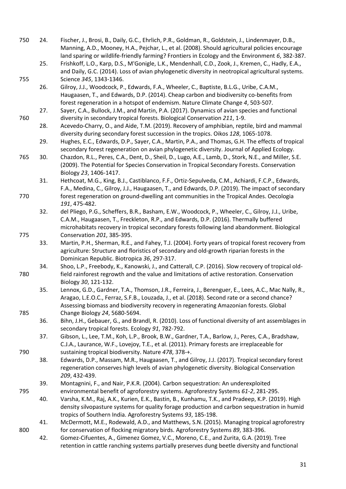| 750 | 24. | Fischer, J., Brosi, B., Daily, G.C., Ehrlich, P.R., Goldman, R., Goldstein, J., Lindenmayer, D.B.,<br>Manning, A.D., Mooney, H.A., Pejchar, L., et al. (2008). Should agricultural policies encourage |
|-----|-----|-------------------------------------------------------------------------------------------------------------------------------------------------------------------------------------------------------|
|     | 25. | land sparing or wildlife-friendly farming? Frontiers in Ecology and the Environment 6, 382-387.<br>Frishkoff, L.O., Karp, D.S., M'Gonigle, L.K., Mendenhall, C.D., Zook, J., Kremen, C., Hadly, E.A., |
|     |     | and Daily, G.C. (2014). Loss of avian phylogenetic diversity in neotropical agricultural systems.                                                                                                     |
| 755 |     | Science 345, 1343-1346.                                                                                                                                                                               |
|     | 26. | Gilroy, J.J., Woodcock, P., Edwards, F.A., Wheeler, C., Baptiste, B.L.G., Uribe, C.A.M.,                                                                                                              |
|     |     | Haugaasen, T., and Edwards, D.P. (2014). Cheap carbon and biodiversity co-benefits from                                                                                                               |
|     |     | forest regeneration in a hotspot of endemism. Nature Climate Change 4, 503-507.                                                                                                                       |
| 760 | 27. | Sayer, C.A., Bullock, J.M., and Martin, P.A. (2017). Dynamics of avian species and functional<br>diversity in secondary tropical forests. Biological Conservation 211, 1-9.                           |
|     | 28. | Acevedo-Charry, O., and Aide, T.M. (2019). Recovery of amphibian, reptile, bird and mammal<br>diversity during secondary forest succession in the tropics. Oikos 128, 1065-1078.                      |
|     | 29. | Hughes, E.C., Edwards, D.P., Sayer, C.A., Martin, P.A., and Thomas, G.H. The effects of tropical                                                                                                      |
|     |     | secondary forest regeneration on avian phylogenetic diversity. Journal of Applied Ecology.                                                                                                            |
| 765 | 30. | Chazdon, R.L., Peres, C.A., Dent, D., Sheil, D., Lugo, A.E., Lamb, D., Stork, N.E., and Miller, S.E.                                                                                                  |
|     |     | (2009). The Potential for Species Conservation in Tropical Secondary Forests. Conservation                                                                                                            |
|     |     | Biology 23, 1406-1417.                                                                                                                                                                                |
|     | 31. | Hethcoat, M.G., King, B.J., Castiblanco, F.F., Ortiz-Sepulveda, C.M., Achiardi, F.C.P., Edwards,                                                                                                      |
|     |     | F.A., Medina, C., Gilroy, J.J., Haugaasen, T., and Edwards, D.P. (2019). The impact of secondary                                                                                                      |
| 770 |     | forest regeneration on ground-dwelling ant communities in the Tropical Andes. Oecologia                                                                                                               |
|     |     | 191, 475-482.                                                                                                                                                                                         |
|     | 32. | del Pliego, P.G., Scheffers, B.R., Basham, E.W., Woodcock, P., Wheeler, C., Gilroy, J.J., Uribe,                                                                                                      |
|     |     | C.A.M., Haugaasen, T., Freckleton, R.P., and Edwards, D.P. (2016). Thermally buffered                                                                                                                 |
|     |     | microhabitats recovery in tropical secondary forests following land abandonment. Biological                                                                                                           |
| 775 |     | Conservation 201, 385-395.                                                                                                                                                                            |
|     | 33. | Martin, P.H., Sherman, R.E., and Fahey, T.J. (2004). Forty years of tropical forest recovery from                                                                                                     |
|     |     | agriculture: Structure and floristics of secondary and old-growth riparian forests in the                                                                                                             |
|     |     | Dominican Republic. Biotropica 36, 297-317.                                                                                                                                                           |
|     | 34. | Shoo, L.P., Freebody, K., Kanowski, J., and Catterall, C.P. (2016). Slow recovery of tropical old-                                                                                                    |
| 780 |     | field rainforest regrowth and the value and limitations of active restoration. Conservation                                                                                                           |
|     |     | Biology 30, 121-132.                                                                                                                                                                                  |
|     | 35. | Lennox, G.D., Gardner, T.A., Thomson, J.R., Ferreira, J., Berenguer, E., Lees, A.C., Mac Nally, R.,<br>Aragao, L.E.O.C., Ferraz, S.F.B., Louzada, J., et al. (2018). Second rate or a second chance?  |
|     |     | Assessing biomass and biodiversity recovery in regenerating Amazonian forests. Global                                                                                                                 |
| 785 |     | Change Biology 24, 5680-5694.                                                                                                                                                                         |
|     | 36. | Bihn, J.H., Gebauer, G., and Brandl, R. (2010). Loss of functional diversity of ant assemblages in                                                                                                    |
|     |     | secondary tropical forests. Ecology 91, 782-792.                                                                                                                                                      |
|     | 37. | Gibson, L., Lee, T.M., Koh, L.P., Brook, B.W., Gardner, T.A., Barlow, J., Peres, C.A., Bradshaw,                                                                                                      |
|     |     | C.J.A., Laurance, W.F., Lovejoy, T.E., et al. (2011). Primary forests are irreplaceable for                                                                                                           |
| 790 |     | sustaining tropical biodiversity. Nature 478, 378-+.                                                                                                                                                  |
|     | 38. | Edwards, D.P., Massam, M.R., Haugaasen, T., and Gilroy, J.J. (2017). Tropical secondary forest                                                                                                        |
|     |     | regeneration conserves high levels of avian phylogenetic diversity. Biological Conservation                                                                                                           |
|     |     | 209, 432-439.                                                                                                                                                                                         |
|     | 39. | Montagnini, F., and Nair, P.K.R. (2004). Carbon sequestration: An underexploited                                                                                                                      |
| 795 |     | environmental benefit of agroforestry systems. Agroforestry Systems 61-2, 281-295.                                                                                                                    |
|     | 40. | Varsha, K.M., Raj, A.K., Kurien, E.K., Bastin, B., Kunhamu, T.K., and Pradeep, K.P. (2019). High                                                                                                      |
|     |     | density silvopasture systems for quality forage production and carbon sequestration in humid                                                                                                          |
|     |     | tropics of Southern India. Agroforestry Systems 93, 185-198.                                                                                                                                          |
|     | 41. | McDermott, M.E., Rodewald, A.D., and Matthews, S.N. (2015). Managing tropical agroforestry                                                                                                            |
| 800 | 42. | for conservation of flocking migratory birds. Agroforestry Systems 89, 383-396.<br>Gomez-Cifuentes, A., Gimenez Gomez, V.C., Moreno, C.E., and Zurita, G.A. (2019). Tree                              |
|     |     | retention in cattle ranching systems partially preserves dung beetle diversity and functional                                                                                                         |
|     |     |                                                                                                                                                                                                       |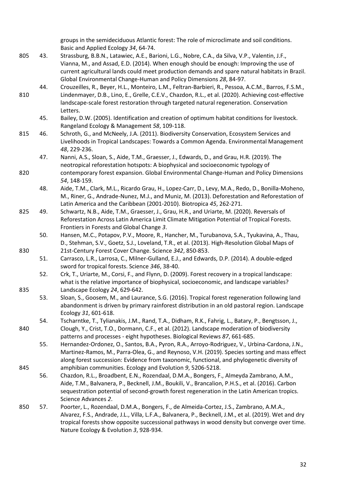groups in the semideciduous Atlantic forest: The role of microclimate and soil conditions. Basic and Applied Ecology *34*, 64-74.

- 805 43. Strassburg, B.B.N., Latawiec, A.E., Barioni, L.G., Nobre, C.A., da Silva, V.P., Valentin, J.F., Vianna, M., and Assad, E.D. (2014). When enough should be enough: Improving the use of current agricultural lands could meet production demands and spare natural habitats in Brazil. Global Environmental Change-Human and Policy Dimensions *28*, 84-97.
- 44. Crouzeilles, R., Beyer, H.L., Monteiro, L.M., Feltran-Barbieri, R., Pessoa, A.C.M., Barros, F.S.M., 810 Lindenmayer, D.B., Lino, E., Grelle, C.E.V., Chazdon, R.L., et al. (2020). Achieving cost-effective landscape-scale forest restoration through targeted natural regeneration. Conservation Letters.
	- 45. Bailey, D.W. (2005). Identification and creation of optimum habitat conditions for livestock. Rangeland Ecology & Management *58*, 109-118.
- 815 46. Schroth, G., and McNeely, J.A. (2011). Biodiversity Conservation, Ecosystem Services and Livelihoods in Tropical Landscapes: Towards a Common Agenda. Environmental Management *48*, 229-236.
- 47. Nanni, A.S., Sloan, S., Aide, T.M., Graesser, J., Edwards, D., and Grau, H.R. (2019). The neotropical reforestation hotspots: A biophysical and socioeconomic typology of 820 contemporary forest expansion. Global Environmental Change-Human and Policy Dimensions *54*, 148-159.
	- 48. Aide, T.M., Clark, M.L., Ricardo Grau, H., Lopez-Carr, D., Levy, M.A., Redo, D., Bonilla-Moheno, M., Riner, G., Andrade-Nunez, M.J., and Muniz, M. (2013). Deforestation and Reforestation of Latin America and the Caribbean (2001-2010). Biotropica *45*, 262-271.
- 825 49. Schwartz, N.B., Aide, T.M., Graesser, J., Grau, H.R., and Uriarte, M. (2020). Reversals of Reforestation Across Latin America Limit Climate Mitigation Potential of Tropical Forests. Frontiers in Forests and Global Change *3*.
- 50. Hansen, M.C., Potapov, P.V., Moore, R., Hancher, M., Turubanova, S.A., Tyukavina, A., Thau, D., Stehman, S.V., Goetz, S.J., Loveland, T.R., et al. (2013). High-Resolution Global Maps of 830 21st-Century Forest Cover Change. Science *342*, 850-853.
	- 51. Carrasco, L.R., Larrosa, C., Milner-Gulland, E.J., and Edwards, D.P. (2014). A double-edged sword for tropical forests. Science *346*, 38-40.
- 52. Crk, T., Uriarte, M., Corsi, F., and Flynn, D. (2009). Forest recovery in a tropical landscape: what is the relative importance of biophysical, socioeconomic, and landscape variables? 835 Landscape Ecology *24*, 629-642.
	- 53. Sloan, S., Goosem, M., and Laurance, S.G. (2016). Tropical forest regeneration following land abandonment is driven by primary rainforest distribution in an old pastoral region. Landscape Ecology *31*, 601-618.
- 54. Tscharntke, T., Tylianakis, J.M., Rand, T.A., Didham, R.K., Fahrig, L., Batary, P., Bengtsson, J., 840 Clough, Y., Crist, T.O., Dormann, C.F., et al. (2012). Landscape moderation of biodiversity patterns and processes - eight hypotheses. Biological Reviews *87*, 661-685.

55. Hernandez-Ordonez, O., Santos, B.A., Pyron, R.A., Arroyo-Rodriguez, V., Urbina-Cardona, J.N., Martinez-Ramos, M., Parra-Olea, G., and Reynoso, V.H. (2019). Species sorting and mass effect along forest succession: Evidence from taxonomic, functional, and phylogenetic diversity of 845 amphibian communities. Ecology and Evolution *9*, 5206-5218.

- 56. Chazdon, R.L., Broadbent, E.N., Rozendaal, D.M.A., Bongers, F., Almeyda Zambrano, A.M., Aide, T.M., Balvanera, P., Becknell, J.M., Boukili, V., Brancalion, P.H.S., et al. (2016). Carbon sequestration potential of second-growth forest regeneration in the Latin American tropics. Science Advances *2*.
- 850 57. Poorter, L., Rozendaal, D.M.A., Bongers, F., de Almeida-Cortez, J.S., Zambrano, A.M.A., Alvarez, F.S., Andrade, J.L., Villa, L.F.A., Balvanera, P., Becknell, J.M., et al. (2019). Wet and dry tropical forests show opposite successional pathways in wood density but converge over time. Nature Ecology & Evolution *3*, 928-934.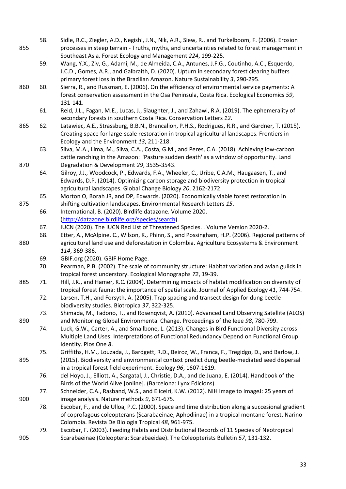| 855 | 58. | Sidle, R.C., Ziegler, A.D., Negishi, J.N., Nik, A.R., Siew, R., and Turkelboom, F. (2006). Erosion<br>processes in steep terrain - Truths, myths, and uncertainties related to forest management in<br>Southeast Asia. Forest Ecology and Management 224, 199-225.           |
|-----|-----|------------------------------------------------------------------------------------------------------------------------------------------------------------------------------------------------------------------------------------------------------------------------------|
|     | 59. | Wang, Y.X., Ziv, G., Adami, M., de Almeida, C.A., Antunes, J.F.G., Coutinho, A.C., Esquerdo,<br>J.C.D., Gomes, A.R., and Galbraith, D. (2020). Upturn in secondary forest clearing buffers<br>primary forest loss in the Brazilian Amazon. Nature Sustainability 3, 290-295. |
| 860 | 60. | Sierra, R., and Russman, E. (2006). On the efficiency of environmental service payments: A<br>forest conservation assessment in the Osa Peninsula, Costa Rica. Ecological Economics 59,<br>131-141.                                                                          |
|     | 61. | Reid, J.L., Fagan, M.E., Lucas, J., Slaughter, J., and Zahawi, R.A. (2019). The ephemerality of<br>secondary forests in southern Costa Rica. Conservation Letters 12.                                                                                                        |
| 865 | 62. | Latawiec, A.E., Strassburg, B.B.N., Brancalion, P.H.S., Rodrigues, R.R., and Gardner, T. (2015).<br>Creating space for large-scale restoration in tropical agricultural landscapes. Frontiers in<br>Ecology and the Environment 13, 211-218.                                 |
| 870 | 63. | Silva, M.A., Lima, M., Silva, C.A., Costa, G.M., and Peres, C.A. (2018). Achieving low-carbon<br>cattle ranching in the Amazon: "Pasture sudden death' as a window of opportunity. Land<br>Degradation & Development 29, 3535-3543.                                          |
|     | 64. | Gilroy, J.J., Woodcock, P., Edwards, F.A., Wheeler, C., Uribe, C.A.M., Haugaasen, T., and<br>Edwards, D.P. (2014). Optimizing carbon storage and biodiversity protection in tropical<br>agricultural landscapes. Global Change Biology 20, 2162-2172.                        |
| 875 | 65. | Morton O, Borah JR, and DP, Edwards. (2020). Economically viable forest restoration in<br>shifting cultivation landscapes. Environmental Research Letters 15.                                                                                                                |
|     | 66. | International, B. (2020). Birdlife datazone. Volume 2020.<br>(http://datazone.birdlife.org/species/search).                                                                                                                                                                  |
|     | 67. | IUCN (2020). The IUCN Red List of Threatened Species. . Volume Version 2020-2.                                                                                                                                                                                               |
|     | 68. | Etter, A., McAlpine, C., Wilson, K., Phinn, S., and Possingham, H.P. (2006). Regional patterns of                                                                                                                                                                            |
| 880 |     | agricultural land use and deforestation in Colombia. Agriculture Ecosystems & Environment<br>114, 369-386.                                                                                                                                                                   |
|     | 69. | GBIF.org (2020). GBIF Home Page.                                                                                                                                                                                                                                             |
|     | 70. | Pearman, P.B. (2002). The scale of community structure: Habitat variation and avian guilds in<br>tropical forest understory. Ecological Monographs 72, 19-39.                                                                                                                |
| 885 | 71. | Hill, J.K., and Hamer, K.C. (2004). Determining impacts of habitat modification on diversity of<br>tropical forest fauna: the importance of spatial scale. Journal of Applied Ecology 41, 744-754.                                                                           |
|     | 72. | Larsen, T.H., and Forsyth, A. (2005). Trap spacing and transect design for dung beetle<br>biodiversity studies. Biotropica 37, 322-325.                                                                                                                                      |
| 890 | 73. | Shimada, M., Tadono, T., and Rosenqvist, A. (2010). Advanced Land Observing Satellite (ALOS)<br>and Monitoring Global Environmental Change. Proceedings of the leee 98, 780-799.                                                                                             |
|     | 74. | Luck, G.W., Carter, A., and Smallbone, L. (2013). Changes in Bird Functional Diversity across<br>Multiple Land Uses: Interpretations of Functional Redundancy Depend on Functional Group<br>Identity. Plos One 8.                                                            |
| 895 | 75. | Griffiths, H.M., Louzada, J., Bardgett, R.D., Beiroz, W., Franca, F., Tregidgo, D., and Barlow, J.<br>(2015). Biodiversity and environmental context predict dung beetle-mediated seed dispersal<br>in a tropical forest field experiment. Ecology 96, 1607-1619.            |
|     | 76. | del Hoyo, J., Elliott, A., Sargatal, J., Christie, D.A., and de Juana, E. (2014). Handbook of the<br>Birds of the World Alive [online]. (Barcelona: Lynx Edicions).                                                                                                          |
|     | 77. | Schneider, C.A., Rasband, W.S., and Eliceiri, K.W. (2012). NIH Image to ImageJ: 25 years of                                                                                                                                                                                  |
| 900 |     | image analysis. Nature methods 9, 671-675.                                                                                                                                                                                                                                   |
|     | 78. | Escobar, F., and de Ulloa, P.C. (2000). Space and time distribution along a succesional gradient                                                                                                                                                                             |
|     |     | of coprofagous coleopterans (Scarabaeinae, Aphodiinae) in a tropical montane forest, Narino                                                                                                                                                                                  |
|     |     | Colombia. Revista De Biologia Tropical 48, 961-975.                                                                                                                                                                                                                          |
| 905 | 79. | Escobar, F. (2003). Feeding Habits and Distributional Records of 11 Species of Neotropical<br>Scarabaeinae (Coleoptera: Scarabaeidae). The Coleopterists Bulletin 57, 131-132.                                                                                               |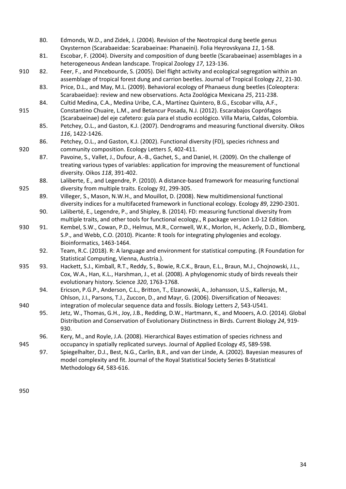- 80. Edmonds, W.D., and Zidek, J. (2004). Revision of the Neotropical dung beetle genus Oxysternon (Scarabaeidae: Scarabaeinae: Phanaeini). Folia Heyrovskyana *11*, 1-58.
- 81. Escobar, F. (2004). Diversity and composition of dung beetle (Scarabaeinae) assemblages in a heterogeneous Andean landscape. Tropical Zoology *17*, 123-136.
- 910 82. Feer, F., and Pincebourde, S. (2005). Diel flight activity and ecological segregation within an assemblage of tropical forest dung and carrion beetles. Journal of Tropical Ecology *21*, 21-30.
	- 83. Price, D.L., and May, M.L. (2009). Behavioral ecology of Phanaeus dung beetles (Coleoptera: Scarabaeidae): review and new observations. Acta Zoológica Mexicana *25*, 211-238.
- 84. Cultid Medina, C.A., Medina Uribe, C.A., Martínez Quintero, B.G., Escobar villa, A.F., 915 Constantino Chuaire, L.M., and Betancur Posada, N.J. (2012). Escarabajos Coprófagos (Scarabaeinae) del eje cafetero: guía para el studio ecológico. Villa Maria, Caldas, Colombia.
	- 85. Petchey, O.L., and Gaston, K.J. (2007). Dendrograms and measuring functional diversity. Oikos *116*, 1422-1426.
- 86. Petchey, O.L., and Gaston, K.J. (2002). Functional diversity (FD), species richness and 920 community composition. Ecology Letters *5*, 402-411.
	- 87. Pavoine, S., Vallet, J., Dufour, A.-B., Gachet, S., and Daniel, H. (2009). On the challenge of treating various types of variables: application for improving the measurement of functional diversity. Oikos *118*, 391-402.
- 88. Laliberte, E., and Legendre, P. (2010). A distance-based framework for measuring functional 925 diversity from multiple traits. Ecology *91*, 299-305.
	- 89. Villeger, S., Mason, N.W.H., and Mouillot, D. (2008). New multidimensional functional diversity indices for a multifaceted framework in functional ecology. Ecology *89*, 2290-2301.
	- 90. Laliberté, E., Legendre, P., and Shipley, B. (2014). FD: measuring functional diversity from multiple traits, and other tools for functional ecology., R package version 1.0-12 Edition.
- 930 91. Kembel, S.W., Cowan, P.D., Helmus, M.R., Cornwell, W.K., Morlon, H., Ackerly, D.D., Blomberg, S.P., and Webb, C.O. (2010). Picante: R tools for integrating phylogenies and ecology. Bioinformatics, 1463-1464.
	- 92. Team, R.C. (2018). R: A language and environment for statistical computing. (R Foundation for Statistical Computing, Vienna, Austria.).
- 935 93. Hackett, S.J., Kimball, R.T., Reddy, S., Bowie, R.C.K., Braun, E.L., Braun, M.J., Chojnowski, J.L., Cox, W.A., Han, K.L., Harshman, J., et al. (2008). A phylogenomic study of birds reveals their evolutionary history. Science *320*, 1763-1768.
	- 94. Ericson, P.G.P., Anderson, C.L., Britton, T., Elzanowski, A., Johansson, U.S., Kallersjo, M., Ohlson, J.I., Parsons, T.J., Zuccon, D., and Mayr, G. (2006). Diversification of Neoaves:
- 940 integration of molecular sequence data and fossils. Biology Letters *2*, 543-U541. 95. Jetz, W., Thomas, G.H., Joy, J.B., Redding, D.W., Hartmann, K., and Mooers, A.O. (2014). Global Distribution and Conservation of Evolutionary Distinctness in Birds. Current Biology *24*, 919- 930.
- 96. Kery, M., and Royle, J.A. (2008). Hierarchical Bayes estimation of species richness and 945 occupancy in spatially replicated surveys. Journal of Applied Ecology *45*, 589-598.

97. Spiegelhalter, D.J., Best, N.G., Carlin, B.R., and van der Linde, A. (2002). Bayesian measures of model complexity and fit. Journal of the Royal Statistical Society Series B-Statistical Methodology *64*, 583-616.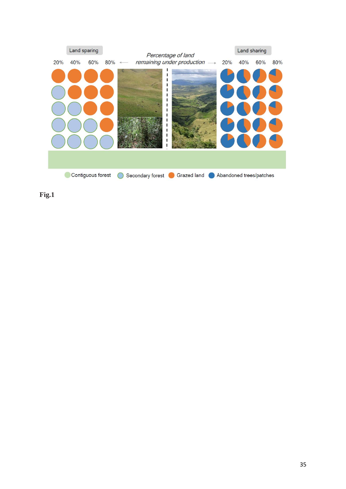

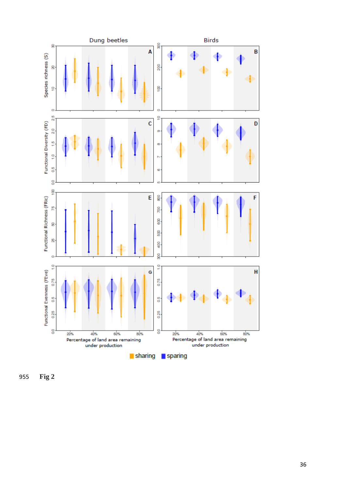

 **F i g 2**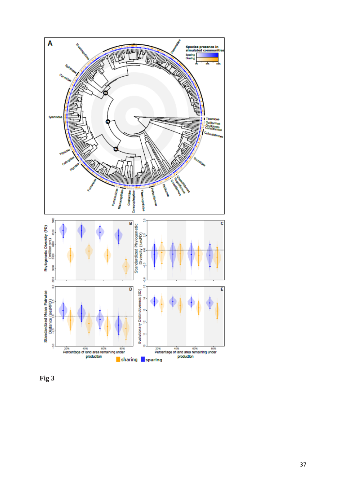

**Fig 3**